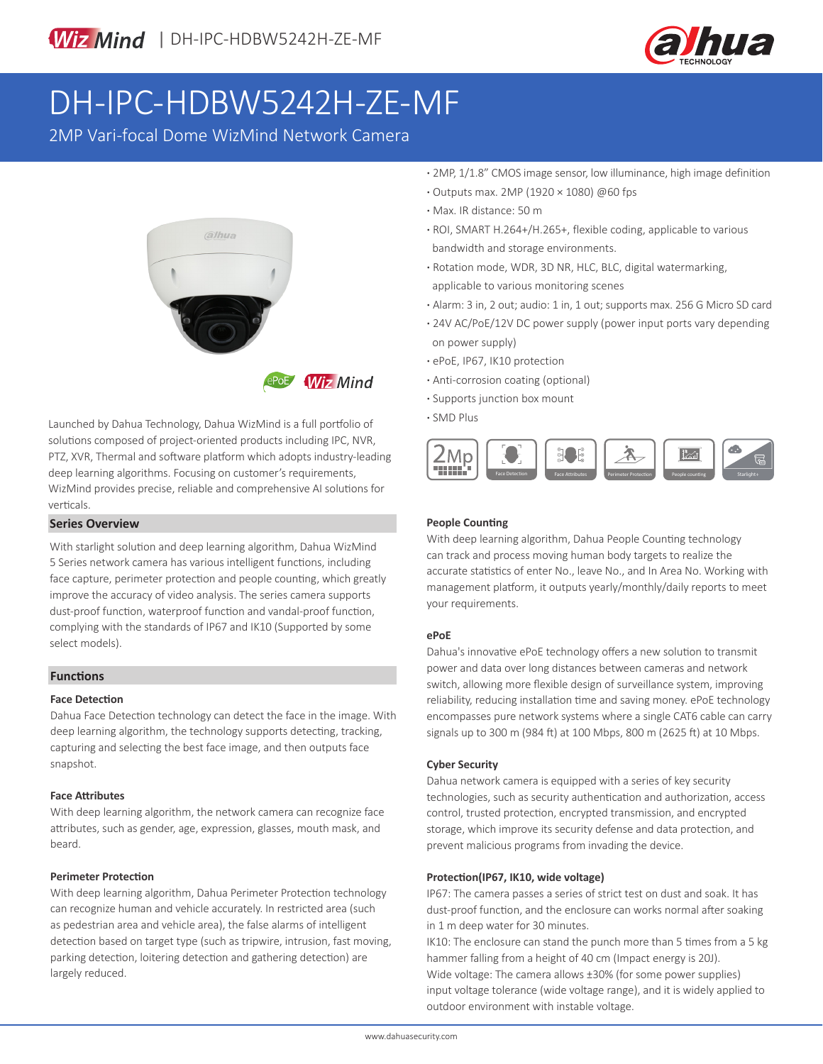

# DH-IPC-HDBW5242H-ZE-MF

2MP Vari-focal Dome WizMind Network Camera



Launched by Dahua Technology, Dahua WizMind is a full portfolio of solutions composed of project-oriented products including IPC, NVR, PTZ, XVR, Thermal and software platform which adopts industry-leading deep learning algorithms. Focusing on customer's requirements, WizMind provides precise, reliable and comprehensive AI solutions for verticals.

### **Series Overview**

With starlight solution and deep learning algorithm, Dahua WizMind 5 Series network camera has various intelligent functions, including face capture, perimeter protection and people counting, which greatly improve the accuracy of video analysis. The series camera supports dust-proof function, waterproof function and vandal-proof function, complying with the standards of IP67 and IK10 (Supported by some select models).

### **Functions**

### **Face Detection**

Dahua Face Detection technology can detect the face in the image. With deep learning algorithm, the technology supports detecting, tracking, capturing and selecting the best face image, and then outputs face snapshot.

### **Face Attributes**

With deep learning algorithm, the network camera can recognize face attributes, such as gender, age, expression, glasses, mouth mask, and beard.

### **Perimeter Protection**

With deep learning algorithm, Dahua Perimeter Protection technology can recognize human and vehicle accurately. In restricted area (such as pedestrian area and vehicle area), the false alarms of intelligent detection based on target type (such as tripwire, intrusion, fast moving, parking detection, loitering detection and gathering detection) are largely reduced.

- **·** 2MP, 1/1.8" CMOS image sensor, low illuminance, high image definition
- **·** Outputs max. 2MP (1920 × 1080) @60 fps
- **·** Max. IR distance: 50 m
- **·** ROI, SMART H.264+/H.265+, flexible coding, applicable to various bandwidth and storage environments.
- **·** Rotation mode, WDR, 3D NR, HLC, BLC, digital watermarking, applicable to various monitoring scenes
- **·** Alarm: 3 in, 2 out; audio: 1 in, 1 out; supports max. 256 G Micro SD card
- **·** 24V AC/PoE/12V DC power supply (power input ports vary depending on power supply)
- **·** ePoE, IP67, IK10 protection
- **·** Anti-corrosion coating (optional)
- **·** Supports junction box mount
- **·** SMD Plus



### **People Counting**

With deep learning algorithm, Dahua People Counting technology can track and process moving human body targets to realize the accurate statistics of enter No., leave No., and In Area No. Working with management platform, it outputs yearly/monthly/daily reports to meet your requirements.

### **ePoE**

Dahua's innovative ePoE technology offers a new solution to transmit power and data over long distances between cameras and network switch, allowing more flexible design of surveillance system, improving reliability, reducing installation time and saving money. ePoE technology encompasses pure network systems where a single CAT6 cable can carry signals up to 300 m (984 ft) at 100 Mbps, 800 m (2625 ft) at 10 Mbps.

### **Cyber Security**

Dahua network camera is equipped with a series of key security technologies, such as security authentication and authorization, access control, trusted protection, encrypted transmission, and encrypted storage, which improve its security defense and data protection, and prevent malicious programs from invading the device.

### **Protection(IP67, IK10, wide voltage)**

IP67: The camera passes a series of strict test on dust and soak. It has dust-proof function, and the enclosure can works normal after soaking in 1 m deep water for 30 minutes.

IK10: The enclosure can stand the punch more than 5 times from a 5 kg hammer falling from a height of 40 cm (Impact energy is 20J). Wide voltage: The camera allows ±30% (for some power supplies) input voltage tolerance (wide voltage range), and it is widely applied to outdoor environment with instable voltage.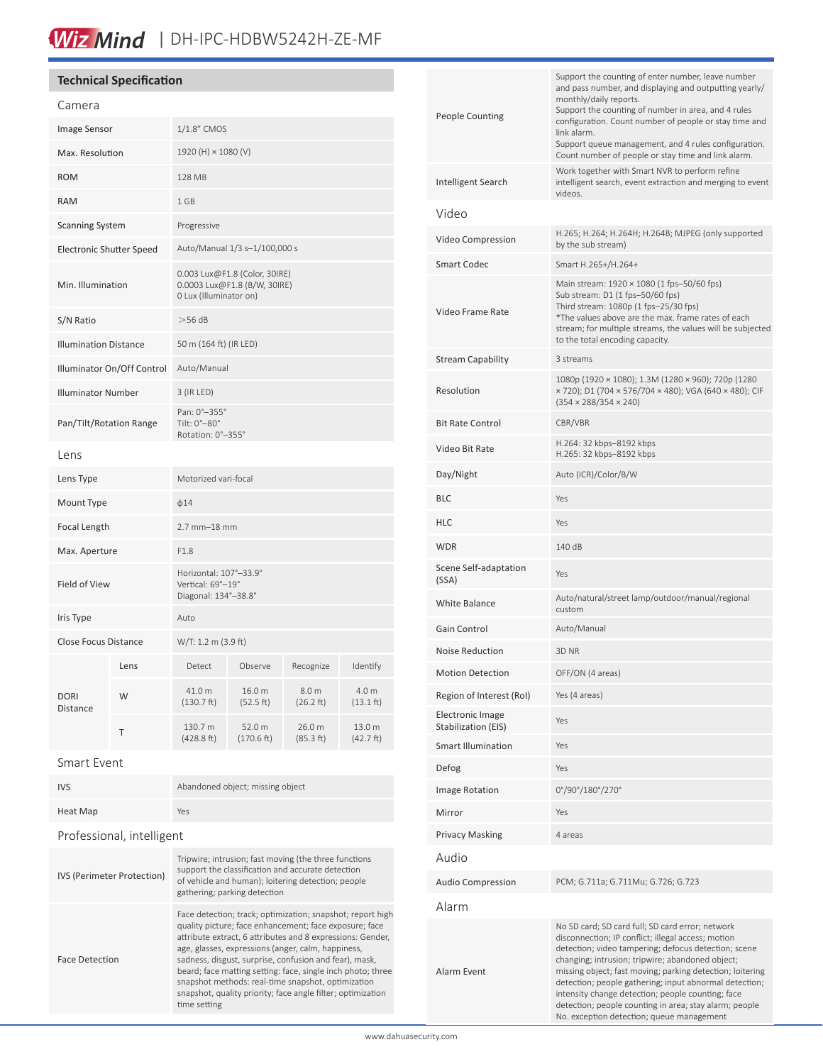## Wiz Mind | DH-IPC-HDBW5242H-ZE-MF

### **Technical Specification**

| Camera                          |      |                                                                                         |                      |                     |                              |
|---------------------------------|------|-----------------------------------------------------------------------------------------|----------------------|---------------------|------------------------------|
| <b>Image Sensor</b>             |      | 1/1.8" CMOS                                                                             |                      |                     |                              |
| Max. Resolution                 |      | 1920 (H) × 1080 (V)                                                                     |                      |                     |                              |
| <b>ROM</b>                      |      | 128 MB                                                                                  |                      |                     |                              |
| <b>RAM</b>                      |      | 1 GB                                                                                    |                      |                     |                              |
| <b>Scanning System</b>          |      | Progressive                                                                             |                      |                     |                              |
| <b>Electronic Shutter Speed</b> |      | Auto/Manual 1/3 s-1/100,000 s                                                           |                      |                     |                              |
| Min. Illumination               |      | 0.003 Lux@F1.8 (Color, 30IRE)<br>0.0003 Lux@F1.8 (B/W, 30IRE)<br>0 Lux (Illuminator on) |                      |                     |                              |
| S/N Ratio                       |      | $>56$ dB                                                                                |                      |                     |                              |
| <b>Illumination Distance</b>    |      | 50 m (164 ft) (IR LED)                                                                  |                      |                     |                              |
| Illuminator On/Off Control      |      | Auto/Manual                                                                             |                      |                     |                              |
| <b>Illuminator Number</b>       |      | 3 (IR LED)                                                                              |                      |                     |                              |
| Pan/Tilt/Rotation Range         |      | Pan: 0°-355°<br>Tilt: 0°-80°<br>Rotation: 0°-355°                                       |                      |                     |                              |
| Lens                            |      |                                                                                         |                      |                     |                              |
| Lens Type                       |      | Motorized vari-focal                                                                    |                      |                     |                              |
| Mount Type                      |      | $\phi$ 14                                                                               |                      |                     |                              |
| Focal Length                    |      | $2.7$ mm $-18$ mm                                                                       |                      |                     |                              |
| Max. Aperture                   |      | F1.8                                                                                    |                      |                     |                              |
| Field of View                   |      | Horizontal: 107°-33.9°<br>Vertical: 69°-19°<br>Diagonal: 134°-38.8°                     |                      |                     |                              |
| Iris Type                       |      | Auto                                                                                    |                      |                     |                              |
| Close Focus Distance            |      | W/T: 1.2 m (3.9 ft)                                                                     |                      |                     |                              |
| <b>DORI</b><br><b>Distance</b>  | Lens | Detect                                                                                  | Observe              | Recognize           | Identify                     |
|                                 | W    | 41.0 m<br>$(130.7)$ ft)                                                                 | 16.0 m<br>(52.5 ft)  | 8.0 m<br>(26.2 ft)  | 4.0 m<br>$(13.1 \text{ ft})$ |
|                                 | T    | 130.7 m<br>(428.8 ft)                                                                   | 52.0 m<br>(170.6 ft) | 26.0 m<br>(85.3 ft) | 13.0 m<br>(42.7 ft)          |

### Smart Event

| <b>IVS</b>  | Abandoned object; missing object |  |  |
|-------------|----------------------------------|--|--|
| Heat Map    | Yes                              |  |  |
| .<br>$\sim$ |                                  |  |  |

### Professional, intelligent

| <b>IVS (Perimeter Protection)</b> | Tripwire; intrusion; fast moving (the three functions<br>support the classification and accurate detection<br>of vehicle and human); loitering detection; people<br>gathering; parking detection                                                                                                                                                                                                                                                                                                       |
|-----------------------------------|--------------------------------------------------------------------------------------------------------------------------------------------------------------------------------------------------------------------------------------------------------------------------------------------------------------------------------------------------------------------------------------------------------------------------------------------------------------------------------------------------------|
| <b>Face Detection</b>             | Face detection; track; optimization; snapshot; report high<br>quality picture; face enhancement; face exposure; face<br>attribute extract, 6 attributes and 8 expressions: Gender,<br>age, glasses, expressions (anger, calm, happiness,<br>sadness, disgust, surprise, confusion and fear), mask,<br>beard; face matting setting: face, single inch photo; three<br>snapshot methods: real-time snapshot, optimization<br>snapshot, quality priority; face angle filter; optimization<br>time setting |

| <b>People Counting</b>                  | Support the counting of enter number, leave number<br>and pass number, and displaying and outputting yearly/<br>monthly/daily reports.<br>Support the counting of number in area, and 4 rules<br>configuration. Count number of people or stay time and<br>link alarm.<br>Support queue management, and 4 rules configuration.<br>Count number of people or stay time and link alarm.                                                                                                                 |
|-----------------------------------------|-------------------------------------------------------------------------------------------------------------------------------------------------------------------------------------------------------------------------------------------------------------------------------------------------------------------------------------------------------------------------------------------------------------------------------------------------------------------------------------------------------|
| Intelligent Search                      | Work together with Smart NVR to perform refine<br>intelligent search, event extraction and merging to event<br>videos.                                                                                                                                                                                                                                                                                                                                                                                |
| Video                                   |                                                                                                                                                                                                                                                                                                                                                                                                                                                                                                       |
| Video Compression                       | H.265; H.264; H.264H; H.264B; MJPEG (only supported<br>by the sub stream)                                                                                                                                                                                                                                                                                                                                                                                                                             |
| <b>Smart Codec</b>                      | Smart H.265+/H.264+                                                                                                                                                                                                                                                                                                                                                                                                                                                                                   |
| Video Frame Rate                        | Main stream: 1920 × 1080 (1 fps-50/60 fps)<br>Sub stream: D1 (1 fps-50/60 fps)<br>Third stream: 1080p (1 fps-25/30 fps)<br>*The values above are the max. frame rates of each<br>stream; for multiple streams, the values will be subjected<br>to the total encoding capacity.                                                                                                                                                                                                                        |
| <b>Stream Capability</b>                | 3 streams                                                                                                                                                                                                                                                                                                                                                                                                                                                                                             |
| Resolution                              | 1080p (1920 × 1080); 1.3M (1280 × 960); 720p (1280<br>× 720); D1 (704 × 576/704 × 480); VGA (640 × 480); CIF<br>$(354 \times 288/354 \times 240)$                                                                                                                                                                                                                                                                                                                                                     |
| <b>Bit Rate Control</b>                 | CBR/VBR                                                                                                                                                                                                                                                                                                                                                                                                                                                                                               |
| Video Bit Rate                          | H.264: 32 kbps-8192 kbps<br>H.265: 32 kbps-8192 kbps                                                                                                                                                                                                                                                                                                                                                                                                                                                  |
| Day/Night                               | Auto (ICR)/Color/B/W                                                                                                                                                                                                                                                                                                                                                                                                                                                                                  |
| <b>BLC</b>                              | Yes                                                                                                                                                                                                                                                                                                                                                                                                                                                                                                   |
| HLC                                     | Yes                                                                                                                                                                                                                                                                                                                                                                                                                                                                                                   |
| <b>WDR</b>                              | 140 dB                                                                                                                                                                                                                                                                                                                                                                                                                                                                                                |
| Scene Self-adaptation<br>(SSA)          | Yes                                                                                                                                                                                                                                                                                                                                                                                                                                                                                                   |
| <b>White Balance</b>                    | Auto/natural/street lamp/outdoor/manual/regional<br>custom                                                                                                                                                                                                                                                                                                                                                                                                                                            |
| Gain Control                            | Auto/Manual                                                                                                                                                                                                                                                                                                                                                                                                                                                                                           |
| <b>Noise Reduction</b>                  | 3D NR                                                                                                                                                                                                                                                                                                                                                                                                                                                                                                 |
| Motion Detection                        | OFF/ON (4 areas)                                                                                                                                                                                                                                                                                                                                                                                                                                                                                      |
| Region of Interest (RoI)                | Yes (4 areas)                                                                                                                                                                                                                                                                                                                                                                                                                                                                                         |
| Electronic Image<br>Stabilization (EIS) | Yes                                                                                                                                                                                                                                                                                                                                                                                                                                                                                                   |
| <b>Smart Illumination</b>               | Yes                                                                                                                                                                                                                                                                                                                                                                                                                                                                                                   |
| Defog                                   | Yes                                                                                                                                                                                                                                                                                                                                                                                                                                                                                                   |
| Image Rotation                          | 0°/90°/180°/270°                                                                                                                                                                                                                                                                                                                                                                                                                                                                                      |
| Mirror                                  | Yes                                                                                                                                                                                                                                                                                                                                                                                                                                                                                                   |
| <b>Privacy Masking</b>                  | 4 areas                                                                                                                                                                                                                                                                                                                                                                                                                                                                                               |
| Audio                                   |                                                                                                                                                                                                                                                                                                                                                                                                                                                                                                       |
| <b>Audio Compression</b>                | PCM; G.711a; G.711Mu; G.726; G.723                                                                                                                                                                                                                                                                                                                                                                                                                                                                    |
| Alarm                                   |                                                                                                                                                                                                                                                                                                                                                                                                                                                                                                       |
| Alarm Event                             | No SD card; SD card full; SD card error; network<br>disconnection; IP conflict; illegal access; motion<br>detection; video tampering; defocus detection; scene<br>changing; intrusion; tripwire; abandoned object;<br>missing object; fast moving; parking detection; loitering<br>detection; people gathering; input abnormal detection;<br>intensity change detection; people counting; face<br>detection; people counting in area; stay alarm; people<br>No. exception detection; queue management |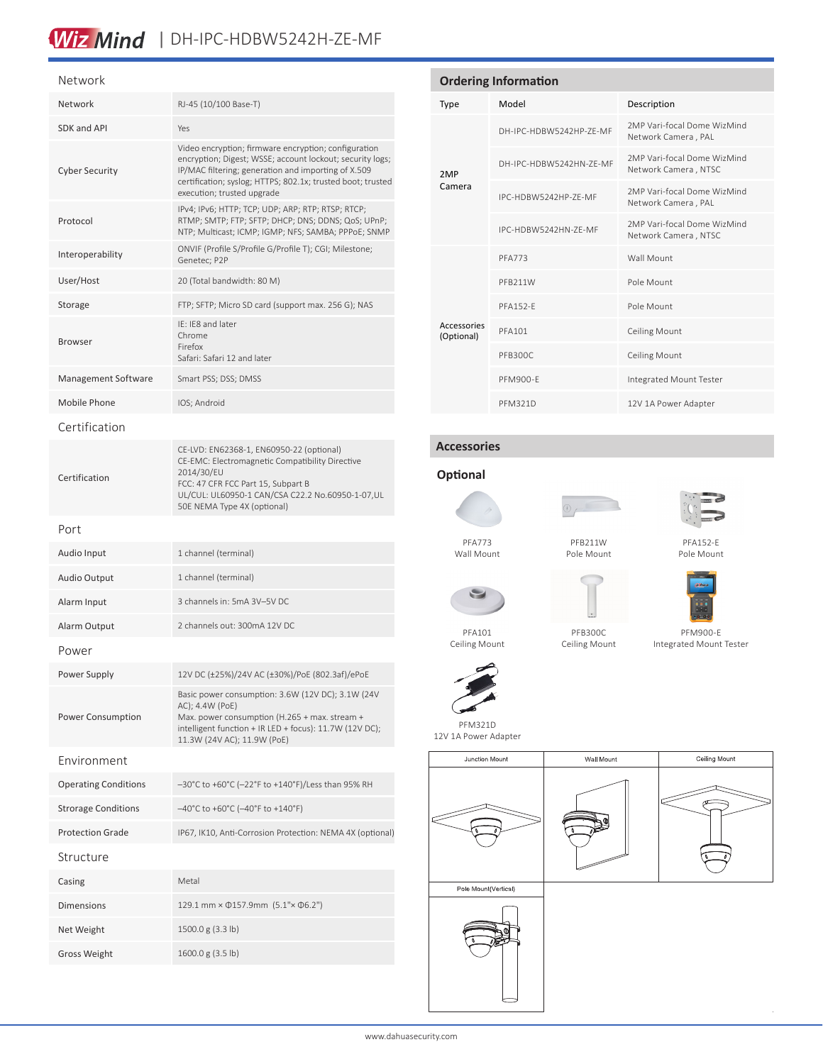## Wiz Mind | DH-IPC-HDBW5242H-ZE-MF

### Network

| Network                     | RJ-45 (10/100 Base-T)                                                                                                                                                                                                                                                 |
|-----------------------------|-----------------------------------------------------------------------------------------------------------------------------------------------------------------------------------------------------------------------------------------------------------------------|
| SDK and API                 | Yes                                                                                                                                                                                                                                                                   |
| <b>Cyber Security</b>       | Video encryption; firmware encryption; configuration<br>encryption; Digest; WSSE; account lockout; security logs;<br>IP/MAC filtering; generation and importing of X.509<br>certification; syslog; HTTPS; 802.1x; trusted boot; trusted<br>execution; trusted upgrade |
| Protocol                    | IPv4; IPv6; HTTP; TCP; UDP; ARP; RTP; RTSP; RTCP;<br>RTMP; SMTP; FTP; SFTP; DHCP; DNS; DDNS; QoS; UPnP;<br>NTP; Multicast; ICMP; IGMP; NFS; SAMBA; PPPoE; SNMP                                                                                                        |
| Interoperability            | ONVIF (Profile S/Profile G/Profile T); CGI; Milestone;<br>Genetec; P2P                                                                                                                                                                                                |
| User/Host                   | 20 (Total bandwidth: 80 M)                                                                                                                                                                                                                                            |
| Storage                     | FTP; SFTP; Micro SD card (support max. 256 G); NAS                                                                                                                                                                                                                    |
| Browser                     | IE: IE8 and later<br>Chrome<br>Firefox<br>Safari: Safari 12 and later                                                                                                                                                                                                 |
| Management Software         | Smart PSS; DSS; DMSS                                                                                                                                                                                                                                                  |
| Mobile Phone                | IOS; Android                                                                                                                                                                                                                                                          |
| Certification               |                                                                                                                                                                                                                                                                       |
| Certification               | CE-LVD: EN62368-1, EN60950-22 (optional)<br>CE-EMC: Electromagnetic Compatibility Directive<br>2014/30/EU<br>FCC: 47 CFR FCC Part 15, Subpart B<br>UL/CUL: UL60950-1 CAN/CSA C22.2 No.60950-1-07,UL<br>50E NEMA Type 4X (optional)                                    |
| Port                        |                                                                                                                                                                                                                                                                       |
| Audio Input                 | 1 channel (terminal)                                                                                                                                                                                                                                                  |
| Audio Output                | 1 channel (terminal)                                                                                                                                                                                                                                                  |
| Alarm Input                 | 3 channels in: 5mA 3V-5V DC                                                                                                                                                                                                                                           |
| Alarm Output                | 2 channels out: 300mA 12V DC                                                                                                                                                                                                                                          |
| Power                       |                                                                                                                                                                                                                                                                       |
| Power Supply                | 12V DC (±25%)/24V AC (±30%)/PoE (802.3af)/ePoE                                                                                                                                                                                                                        |
| Power Consumption           | Basic power consumption: 3.6W (12V DC); 3.1W (24V<br>AC); 4.4W (PoE)<br>Max. power consumption (H.265 + max. stream +<br>intelligent function + IR LED + focus): 11.7W (12V DC);<br>11.3W (24V AC); 11.9W (PoE)                                                       |
| Fnvironment                 |                                                                                                                                                                                                                                                                       |
| <b>Operating Conditions</b> | -30°C to +60°C (-22°F to +140°F)/Less than 95% RH                                                                                                                                                                                                                     |
| <b>Strorage Conditions</b>  | $-40^{\circ}$ C to +60 $^{\circ}$ C (-40 $^{\circ}$ F to +140 $^{\circ}$ F)                                                                                                                                                                                           |
| <b>Protection Grade</b>     | IP67, IK10, Anti-Corrosion Protection: NEMA 4X (optional)                                                                                                                                                                                                             |
| Structure                   |                                                                                                                                                                                                                                                                       |
| Casing                      | Metal                                                                                                                                                                                                                                                                 |
| <b>Dimensions</b>           | 129.1 mm × $\Phi$ 157.9mm (5.1"× $\Phi$ 6.2")                                                                                                                                                                                                                         |
| Net Weight                  | 1500.0 g (3.3 lb)                                                                                                                                                                                                                                                     |
| <b>Gross Weight</b>         | 1600.0 g (3.5 lb)                                                                                                                                                                                                                                                     |
|                             |                                                                                                                                                                                                                                                                       |

| Model<br>Description<br><b>Type</b>                                                   |  |  |
|---------------------------------------------------------------------------------------|--|--|
| 2MP Vari-focal Dome WizMind<br>DH-IPC-HDBW5242HP-7F-MF<br>Network Camera, PAL         |  |  |
| 2MP Vari-focal Dome WizMind<br>DH-IPC-HDBW5242HN-7F-MF<br>Network Camera, NTSC<br>2MP |  |  |
| Camera<br>2MP Vari-focal Dome WizMind<br>IPC-HDBW5242HP-7F-MF<br>Network Camera, PAL  |  |  |
| 2MP Vari-focal Dome WizMind<br>IPC-HDBW5242HN-ZF-MF<br>Network Camera, NTSC           |  |  |
| Wall Mount<br>PFA773                                                                  |  |  |
| Pole Mount<br>PFB211W                                                                 |  |  |
| Pole Mount<br><b>PFA152-F</b>                                                         |  |  |
| Accessories<br><b>PFA101</b><br><b>Ceiling Mount</b><br>(Optional)                    |  |  |
| PFB300C<br><b>Ceiling Mount</b>                                                       |  |  |
| Integrated Mount Tester<br>PFM900-F                                                   |  |  |
| 12V 1A Power Adapter<br>PFM321D                                                       |  |  |

### **Accessories**

ш



Wall Mount

PFA101 Ceiling Mount





PFB211W Pole Mount



PFA152-E



PFM900-E Integrated Mount Tester

PFB300C